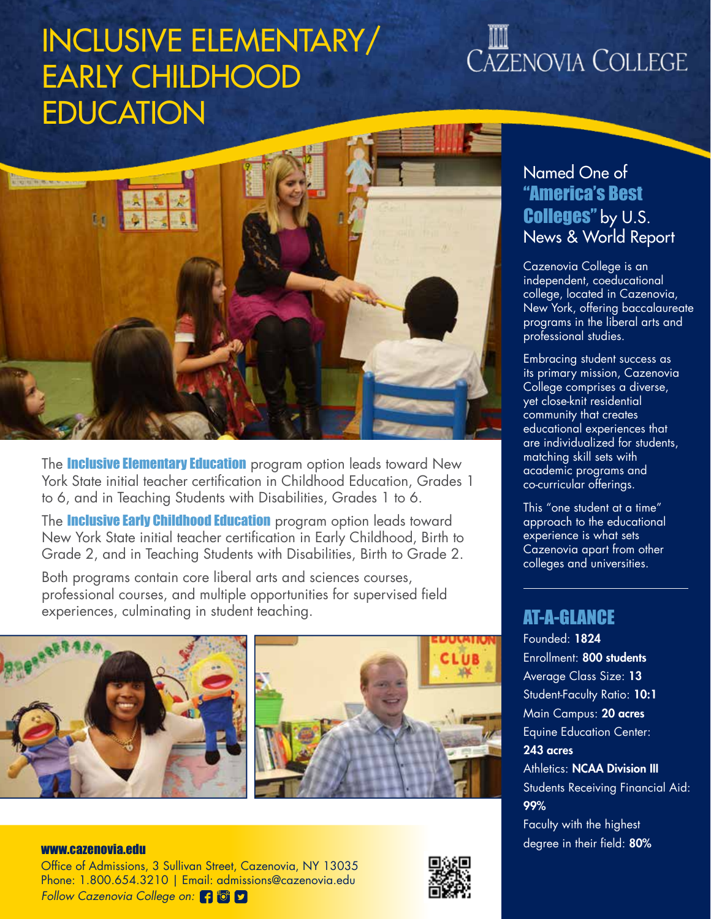# INCLUSIVE ELEMENTARY/ EARLY CHILDHOOD EDUCATION

# CAZENOVIA COLLEGE



The **Inclusive Elementary Education** program option leads toward New York State initial teacher certification in Childhood Education, Grades 1 to 6, and in Teaching Students with Disabilities, Grades 1 to 6.

The **Inclusive Early Childhood Education** program option leads toward New York State initial teacher certification in Early Childhood, Birth to Grade 2, and in Teaching Students with Disabilities, Birth to Grade 2.

Both programs contain core liberal arts and sciences courses, professional courses, and multiple opportunities for supervised field experiences, culminating in student teaching.



## Named One of "America's Best Colleges" by U.S. News & World Report

Cazenovia College is an independent, coeducational college, located in Cazenovia, New York, offering baccalaureate programs in the liberal arts and professional studies.

Embracing student success as its primary mission, Cazenovia College comprises a diverse, yet close-knit residential community that creates educational experiences that are individualized for students, matching skill sets with academic programs and co-curricular offerings.

This "one student at a time" approach to the educational experience is what sets Cazenovia apart from other colleges and universities.

### AT-A-GLANCE

Founded: 1824 Enrollment: 800 students Average Class Size: 13 Student-Faculty Ratio: 10:1 Main Campus: 20 acres Equine Education Center: 243 acres **Athletics: NCAA Division III** Students Receiving Financial Aid: 99% Faculty with the highest

### www.cazenovia.edu www.cazenovia.edu www.cazenovia.edu www.cazenovia.edu www.cazenovia.edu www.cazenovia.edu ww

Office of Admissions, 3 Sullivan Street, Cazenovia, NY 13035 Phone: 1.800.654.3210 | Email: admissions@cazenovia.edu *Follow Cazenovia College on:*